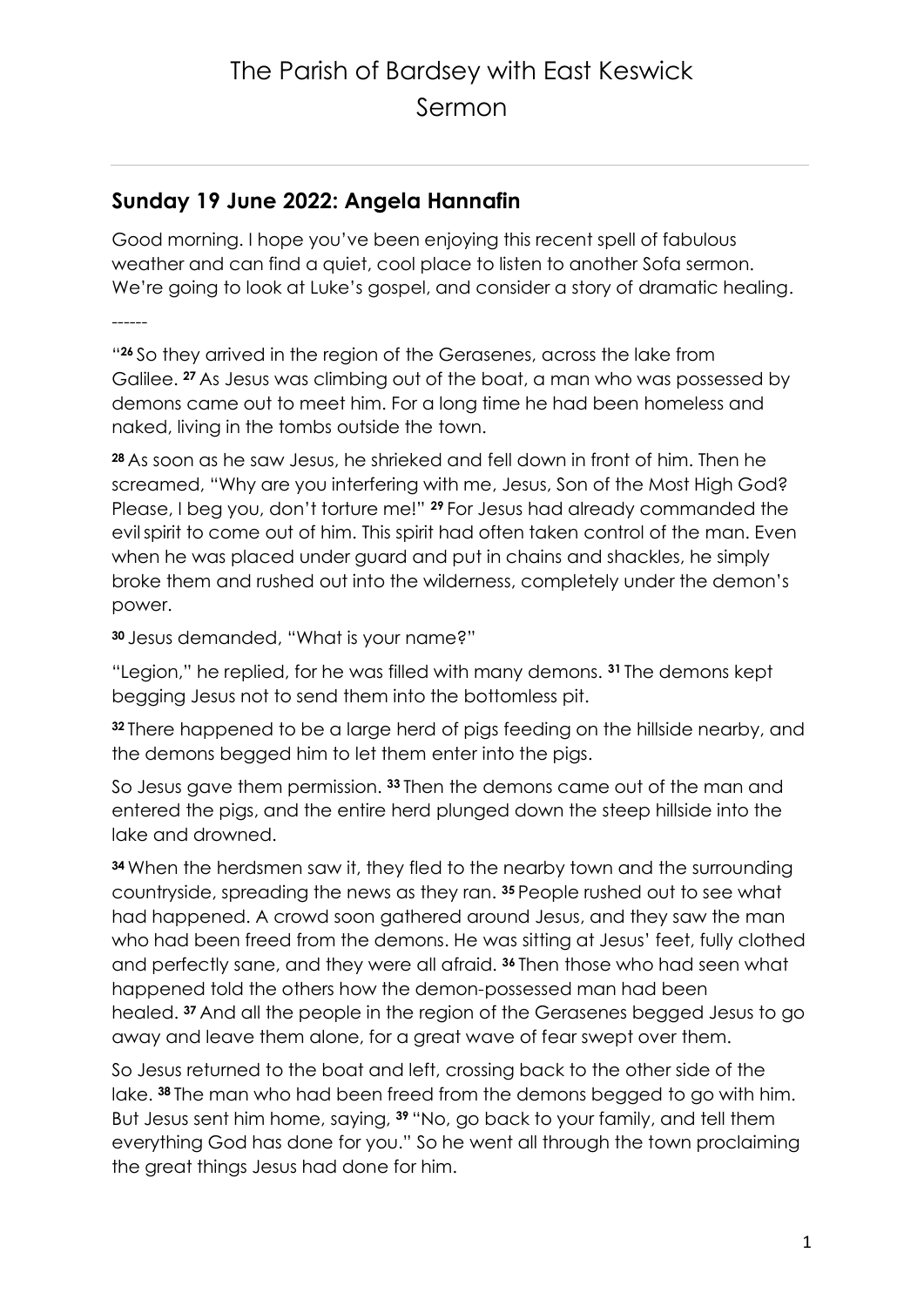# The Parish of Bardsey with East Keswick Sermon

### **Sunday 19 June 2022: Angela Hannafin**

Good morning. I hope you've been enjoying this recent spell of fabulous weather and can find a quiet, cool place to listen to another Sofa sermon. We're going to look at Luke's gospel, and consider a story of dramatic healing.

------

" **<sup>26</sup>** So they arrived in the region of the Gerasenes, across the lake from Galilee. **<sup>27</sup>** As Jesus was climbing out of the boat, a man who was possessed by demons came out to meet him. For a long time he had been homeless and naked, living in the tombs outside the town.

**<sup>28</sup>** As soon as he saw Jesus, he shrieked and fell down in front of him. Then he screamed, "Why are you interfering with me, Jesus, Son of the Most High God? Please, I beg you, don't torture me!" **<sup>29</sup>** For Jesus had already commanded the evilspirit to come out of him. This spirit had often taken control of the man. Even when he was placed under guard and put in chains and shackles, he simply broke them and rushed out into the wilderness, completely under the demon's power.

**<sup>30</sup>** Jesus demanded, "What is your name?"

"Legion," he replied, for he was filled with many demons. **<sup>31</sup>** The demons kept begging Jesus not to send them into the bottomless pit.

**<sup>32</sup>** There happened to be a large herd of pigs feeding on the hillside nearby, and the demons begged him to let them enter into the pigs.

So Jesus gave them permission. **<sup>33</sup>** Then the demons came out of the man and entered the pigs, and the entire herd plunged down the steep hillside into the lake and drowned.

**<sup>34</sup>** When the herdsmen saw it, they fled to the nearby town and the surrounding countryside, spreading the news as they ran. **<sup>35</sup>** People rushed out to see what had happened. A crowd soon gathered around Jesus, and they saw the man who had been freed from the demons. He was sitting at Jesus' feet, fully clothed and perfectly sane, and they were all afraid. **<sup>36</sup>** Then those who had seen what happened told the others how the demon-possessed man had been healed. **<sup>37</sup>** And all the people in the region of the Gerasenes begged Jesus to go away and leave them alone, for a great wave of fear swept over them.

So Jesus returned to the boat and left, crossing back to the other side of the lake. **<sup>38</sup>** The man who had been freed from the demons begged to go with him. But Jesus sent him home, saying, **<sup>39</sup>** "No, go back to your family, and tell them everything God has done for you." So he went all through the town proclaiming the great things Jesus had done for him.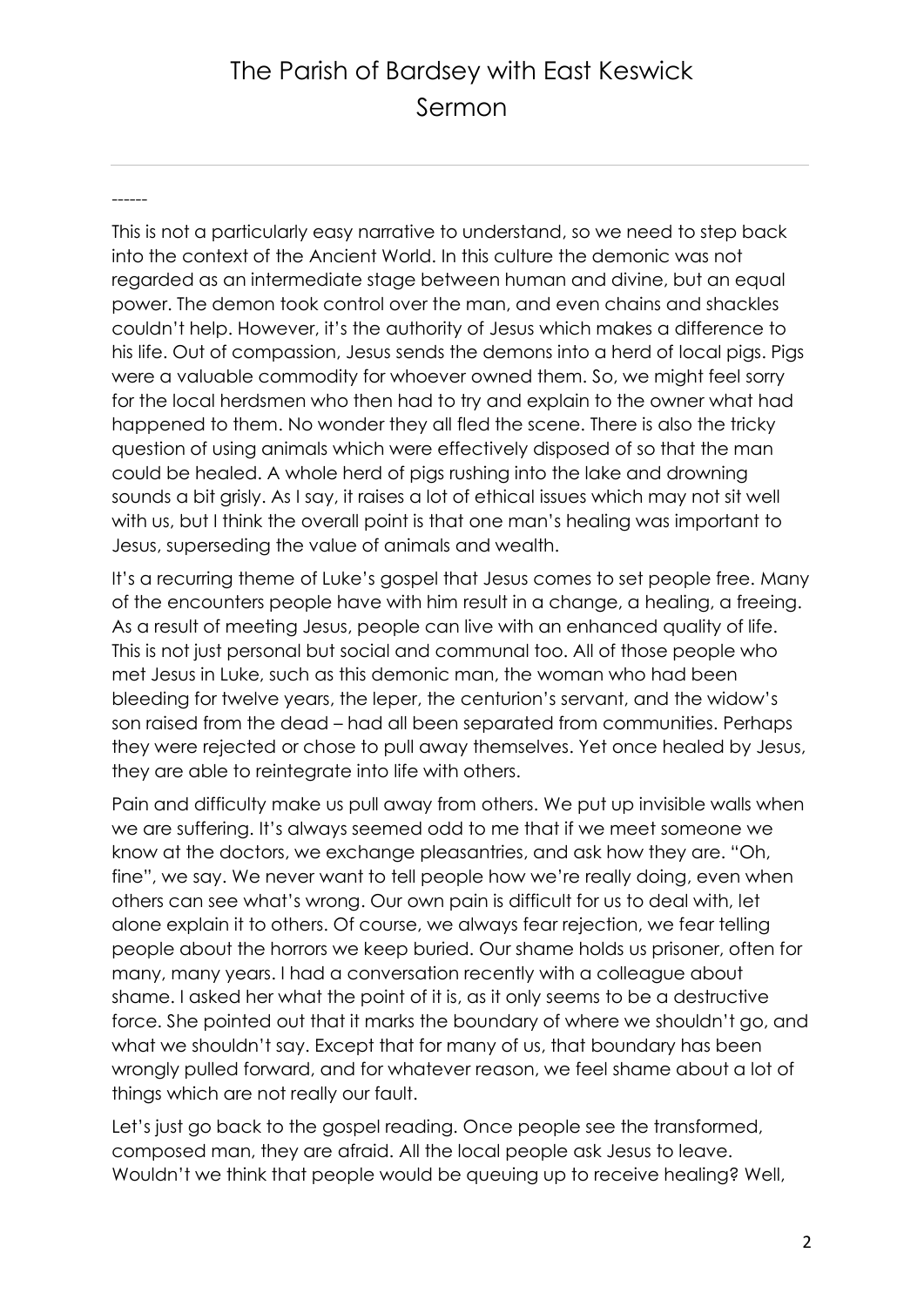## The Parish of Bardsey with East Keswick Sermon

------

This is not a particularly easy narrative to understand, so we need to step back into the context of the Ancient World. In this culture the demonic was not regarded as an intermediate stage between human and divine, but an equal power. The demon took control over the man, and even chains and shackles couldn't help. However, it's the authority of Jesus which makes a difference to his life. Out of compassion, Jesus sends the demons into a herd of local pigs. Pigs were a valuable commodity for whoever owned them. So, we might feel sorry for the local herdsmen who then had to try and explain to the owner what had happened to them. No wonder they all fled the scene. There is also the tricky question of using animals which were effectively disposed of so that the man could be healed. A whole herd of pigs rushing into the lake and drowning sounds a bit grisly. As I say, it raises a lot of ethical issues which may not sit well with us, but I think the overall point is that one man's healing was important to Jesus, superseding the value of animals and wealth.

It's a recurring theme of Luke's gospel that Jesus comes to set people free. Many of the encounters people have with him result in a change, a healing, a freeing. As a result of meeting Jesus, people can live with an enhanced quality of life. This is not just personal but social and communal too. All of those people who met Jesus in Luke, such as this demonic man, the woman who had been bleeding for twelve years, the leper, the centurion's servant, and the widow's son raised from the dead – had all been separated from communities. Perhaps they were rejected or chose to pull away themselves. Yet once healed by Jesus, they are able to reintegrate into life with others.

Pain and difficulty make us pull away from others. We put up invisible walls when we are suffering. It's always seemed odd to me that if we meet someone we know at the doctors, we exchange pleasantries, and ask how they are. "Oh, fine", we say. We never want to tell people how we're really doing, even when others can see what's wrong. Our own pain is difficult for us to deal with, let alone explain it to others. Of course, we always fear rejection, we fear telling people about the horrors we keep buried. Our shame holds us prisoner, often for many, many years. I had a conversation recently with a colleague about shame. I asked her what the point of it is, as it only seems to be a destructive force. She pointed out that it marks the boundary of where we shouldn't go, and what we shouldn't say. Except that for many of us, that boundary has been wrongly pulled forward, and for whatever reason, we feel shame about a lot of things which are not really our fault.

Let's just go back to the gospel reading. Once people see the transformed, composed man, they are afraid. All the local people ask Jesus to leave. Wouldn't we think that people would be queuing up to receive healing? Well,